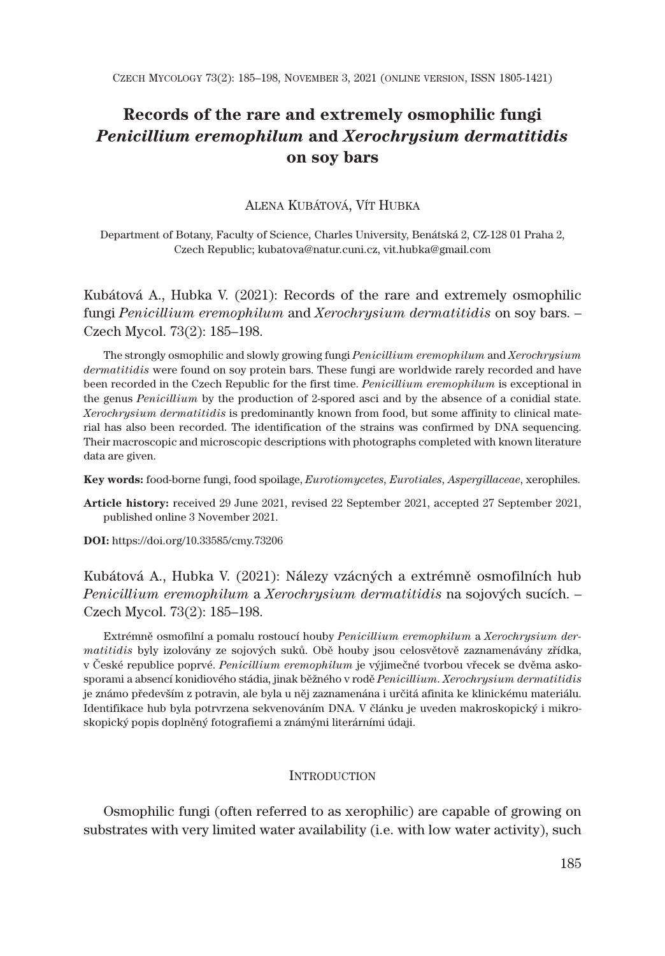# **Records of the rare and extremely osmophilic fungi** *Penicillium eremophilum* **and** *Xerochrysium dermatitidis* **on soy bars**

## ALENA KUBÁTOVÁ, VÍT HUBKA

Department of Botany, Faculty of Science, Charles University, Benátská 2, CZ-128 01 Praha 2, Czech Republic; kubatova@natur.cuni.cz, vit.hubka@gmail.com

## Kubátová A., Hubka V. (2021): Records of the rare and extremely osmophilic fungi *Penicillium eremophilum* and *Xerochrysium dermatitidis* on soy bars. – Czech Mycol. 73(2): 185–198.

The strongly osmophilic and slowly growing fungi *Penicillium eremophilum* and *Xerochrysium dermatitidis* were found on soy protein bars. These fungi are worldwide rarely recorded and have been recorded in the Czech Republic for the first time. *Penicillium eremophilum* is exceptional in the genus *Penicillium* by the production of 2-spored asci and by the absence of a conidial state. *Xerochrysium dermatitidis* is predominantly known from food, but some affinity to clinical material has also been recorded. The identification of the strains was confirmed by DNA sequencing. Their macroscopic and microscopic descriptions with photographs completed with known literature data are given.

**Key words:** food-borne fungi, food spoilage, *Eurotiomycetes*, *Eurotiales*, *Aspergillaceae*, xerophiles.

- **Article history:** received 29 June 2021, revised 22 September 2021, accepted 27 September 2021, published online 3 November 2021.
- **DOI:** https://doi.org/10.33585/cmy.73206

## Kubátová A., Hubka V. (2021): Nálezy vzácných a extrémně osmofilních hub *Penicillium eremophilum* a *Xerochrysium dermatitidis* na sojových sucích. – Czech Mycol. 73(2): 185–198.

Extrémně osmofilní a pomalu rostoucí houby *Penicillium eremophilum* a *Xerochrysium dermatitidis* byly izolovány ze sojových suků. Obě houby jsou celosvětově zaznamenávány zřídka, v České republice poprvé. *Penicillium eremophilum* je výjimečné tvorbou vřecek se dvěma askosporami a absencí konidiového stádia, jinak běžného v rodě *Penicillium*. *Xerochrysium dermatitidis* je známo především z potravin, ale byla u něj zaznamenána i určitá afinita ke klinickému materiálu. Identifikace hub byla potrvrzena sekvenováním DNA. V článku je uveden makroskopický i mikroskopický popis doplněný fotografiemi a známými literárními údaji.

## **INTRODUCTION**

Osmophilic fungi (often referred to as xerophilic) are capable of growing on substrates with very limited water availability (i.e. with low water activity), such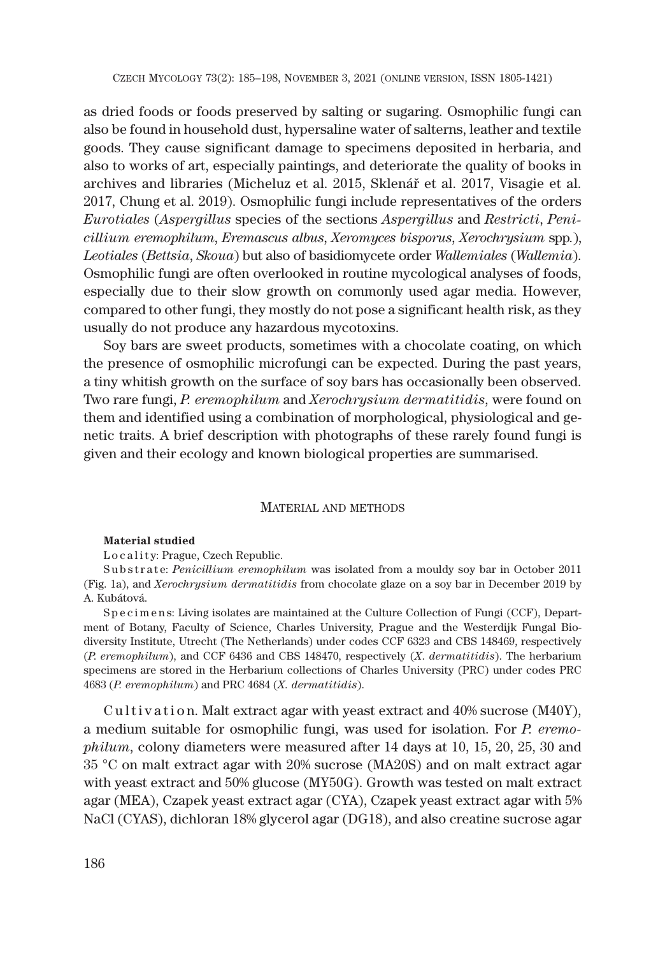as dried foods or foods preserved by salting or sugaring. Osmophilic fungi can also be found in household dust, hypersaline water of salterns, leather and textile goods. They cause significant damage to specimens deposited in herbaria, and also to works of art, especially paintings, and deteriorate the quality of books in archives and libraries (Micheluz et al. 2015, Sklenář et al. 2017, Visagie et al. 2017, Chung et al. 2019). Osmophilic fungi include representatives of the orders *Eurotiales* (*Aspergillus* species of the sections *Aspergillus* and *Restricti*, *Penicillium eremophilum*, *Eremascus albus*, *Xeromyces bisporus*, *Xerochrysium* spp*.*), *Leotiales* (*Bettsia*, *Skoua*) but also of basidiomycete order *Wallemiales* (*Wallemia*). Osmophilic fungi are often overlooked in routine mycological analyses of foods, especially due to their slow growth on commonly used agar media. However, compared to other fungi, they mostly do not pose a significant health risk, as they usually do not produce any hazardous mycotoxins.

Soy bars are sweet products, sometimes with a chocolate coating, on which the presence of osmophilic microfungi can be expected. During the past years, a tiny whitish growth on the surface of soy bars has occasionally been observed. Two rare fungi, *P. eremophilum* and *Xerochrysium dermatitidis*, were found on them and identified using a combination of morphological, physiological and genetic traits. A brief description with photographs of these rarely found fungi is given and their ecology and known biological properties are summarised.

#### MATERIAL AND METHODS

#### **Material studied**

#### Lo c a lity: Prague, Czech Republic.

Substrate: *Penicillium eremophilum* was isolated from a mouldy soy bar in October 2011 (Fig. 1a), and *Xerochrysium dermatitidis* from chocolate glaze on a soy bar in December 2019 by A. Kubátová.

Specimens: Living isolates are maintained at the Culture Collection of Fungi (CCF), Department of Botany, Faculty of Science, Charles University, Prague and the Westerdijk Fungal Biodiversity Institute, Utrecht (The Netherlands) under codes CCF 6323 and CBS 148469, respectively (*P*. *eremophilum*), and CCF 6436 and CBS 148470, respectively (*X*. *dermatitidis*). The herbarium specimens are stored in the Herbarium collections of Charles University (PRC) under codes PRC 4683 (*P. eremophilum*) and PRC 4684 (*X. dermatitidis*).

Cultivation. Malt extract agar with yeast extract and 40% sucrose (M40Y), a medium suitable for osmophilic fungi, was used for isolation. For *P. eremophilum*, colony diameters were measured after 14 days at 10, 15, 20, 25, 30 and 35 °C on malt extract agar with 20% sucrose (MA20S) and on malt extract agar with yeast extract and 50% glucose (MY50G). Growth was tested on malt extract agar (MEA), Czapek yeast extract agar (CYA), Czapek yeast extract agar with 5% NaCl (CYAS), dichloran 18% glycerol agar (DG18), and also creatine sucrose agar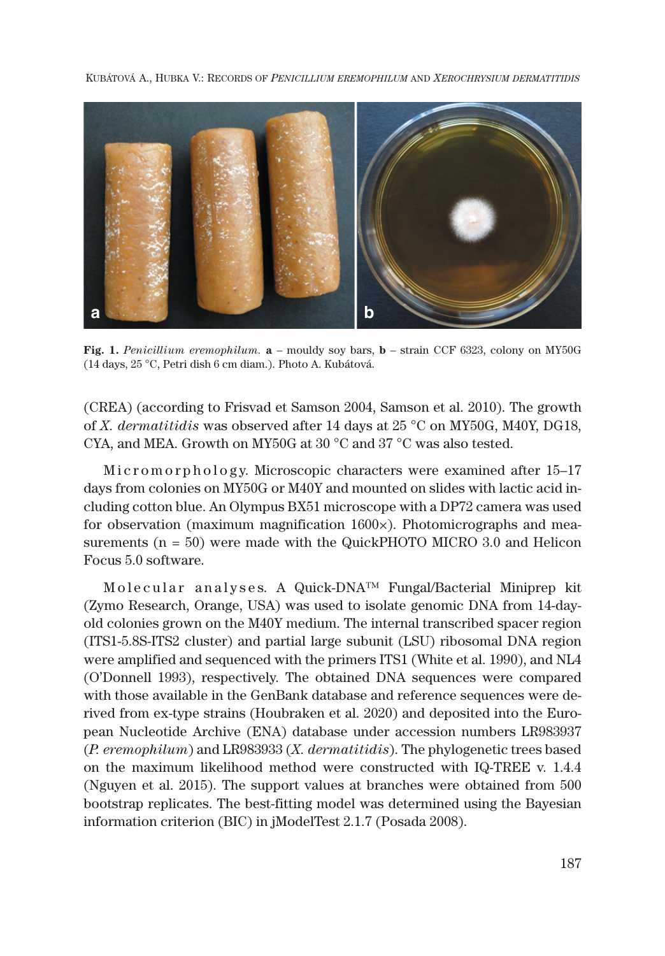KUBÁTOVÁ A., HUBKA V.: RECORDS OF *PENICILLIUM EREMOPHILUM* AND *XEROCHRYSIUM DERMATITIDIS*



**Fig. 1.** *Penicillium eremophilum.* **a** – mouldy soy bars, **b** – strain CCF 6323, colony on MY50G (14 days, 25 °C, Petri dish 6 cm diam.). Photo A. Kubátová.

(CREA) (according to Frisvad et Samson 2004, Samson et al. 2010). The growth of *X. dermatitidis* was observed after 14 days at 25 °C on MY50G, M40Y, DG18, CYA, and MEA. Growth on MY50G at 30 °C and 37 °C was also tested.

M i c r o m o r p h o l o g y. Microscopic characters were examined after  $15-17$ days from colonies on MY50G or M40Y and mounted on slides with lactic acid including cotton blue. An Olympus BX51 microscope with a DP72 camera was used for observation (maximum magnification 1600×). Photomicrographs and measurements ( $n = 50$ ) were made with the QuickPHOTO MICRO 3.0 and Helicon Focus 5.0 software.

Molecular analyses. A Quick-DNA™ Fungal/Bacterial Miniprep kit (Zymo Research, Orange, USA) was used to isolate genomic DNA from 14-dayold colonies grown on the M40Y medium. The internal transcribed spacer region (ITS1-5.8S-ITS2 cluster) and partial large subunit (LSU) ribosomal DNA region were amplified and sequenced with the primers ITS1 (White et al. 1990), and NL4 (O'Donnell 1993), respectively. The obtained DNA sequences were compared with those available in the GenBank database and reference sequences were derived from ex-type strains (Houbraken et al. 2020) and deposited into the European Nucleotide Archive (ENA) database under accession numbers LR983937 (*P. eremophilum*) and LR983933 (*X. dermatitidis*). The phylogenetic trees based on the maximum likelihood method were constructed with IQ-TREE v. 1.4.4 (Nguyen et al. 2015). The support values at branches were obtained from 500 bootstrap replicates. The best-fitting model was determined using the Bayesian information criterion (BIC) in jModelTest 2.1.7 (Posada 2008).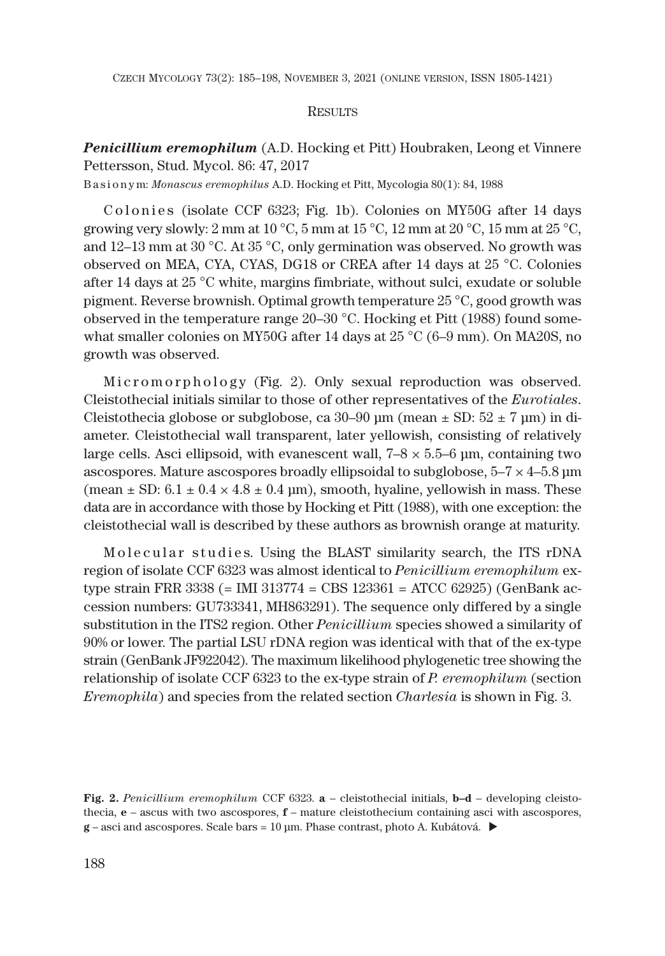#### **RESULTS**

*Penicillium eremophilum* (A.D. Hocking et Pitt) Houbraken, Leong et Vinnere Pettersson, Stud. Mycol. 86: 47, 2017

B a s i o n y m: *Monascus eremophilus* A.D. Hocking et Pitt, Mycologia 80(1): 84, 1988

Colonies (isolate CCF 6323; Fig. 1b). Colonies on MY50G after 14 days growing very slowly: 2 mm at  $10^{\circ}$ C, 5 mm at  $15^{\circ}$ C, 12 mm at  $20^{\circ}$ C, 15 mm at  $25^{\circ}$ C, and 12–13 mm at 30 °C. At 35 °C, only germination was observed. No growth was observed on MEA, CYA, CYAS, DG18 or CREA after 14 days at 25 °C. Colonies after 14 days at 25 °C white, margins fimbriate, without sulci, exudate or soluble pigment. Reverse brownish. Optimal growth temperature 25 °C, good growth was observed in the temperature range 20–30 °C. Hocking et Pitt (1988) found somewhat smaller colonies on MY50G after 14 days at 25 °C (6–9 mm). On MA20S, no growth was observed.

Micromorphology (Fig. 2). Only sexual reproduction was observed. Cleistothecial initials similar to those of other representatives of the *Eurotiales*. Cleistothecia globose or subglobose, ca  $30-90 \mu m$  (mean  $\pm$  SD:  $52 \pm 7 \mu m$ ) in diameter. Cleistothecial wall transparent, later yellowish, consisting of relatively large cells. Asci ellipsoid, with evanescent wall,  $7-8 \times 5.5-6$  µm, containing two ascospores. Mature ascospores broadly ellipsoidal to subglobose,  $5-7 \times 4-5.8$  µm (mean  $\pm$  SD: 6.1  $\pm$  0.4  $\times$  4.8  $\pm$  0.4 µm), smooth, hyaline, yellowish in mass. These data are in accordance with those by Hocking et Pitt (1988), with one exception: the cleistothecial wall is described by these authors as brownish orange at maturity.

M olecular studies. Using the BLAST similarity search, the ITS rDNA region of isolate CCF 6323 was almost identical to *Penicillium eremophilum* extype strain FRR 3338 (= IMI 313774 = CBS 123361 = ATCC 62925) (GenBank accession numbers: GU733341, MH863291). The sequence only differed by a single substitution in the ITS2 region. Other *Penicillium* species showed a similarity of 90% or lower. The partial LSU rDNA region was identical with that of the ex-type strain (GenBank JF922042). The maximum likelihood phylogenetic tree showing the relationship of isolate CCF 6323 to the ex-type strain of *P. eremophilum* (section *Eremophila*) and species from the related section *Charlesia* is shown in Fig. 3.

**Fig. 2.** *Penicillium eremophilum* CCF 6323. **a** – cleistothecial initials, **b–d** – developing cleistothecia, **e** – ascus with two ascospores, **f** – mature cleistothecium containing asci with ascospores,  $g$  – asci and ascospores. Scale bars = 10 µm. Phase contrast, photo A. Kubátová.  $\blacktriangleright$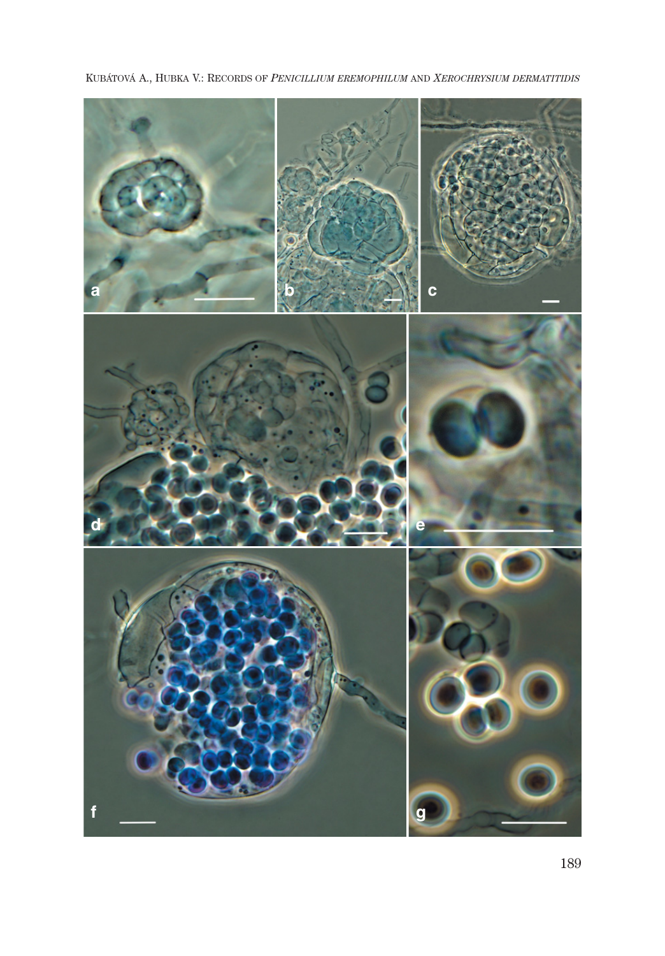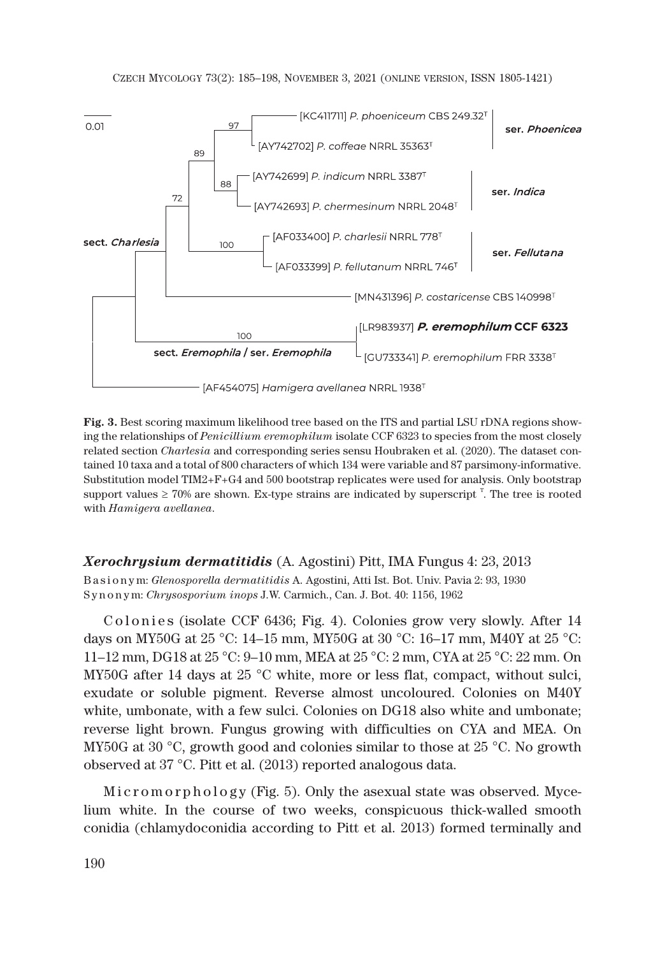

CZECH MYCOLOGY 73(2): 185–198, NOVEMBER 3, 2021 (ONLINE VERSION, ISSN 1805-1421)

**Fig. 3.** Best scoring maximum likelihood tree based on the ITS and partial LSU rDNA regions showing the relationships of *Penicillium eremophilum* isolate CCF 6323 to species from the most closely related section *Charlesia* and corresponding series sensu Houbraken et al. (2020). The dataset contained 10 taxa and a total of 800 characters of which 134 were variable and 87 parsimony-informative. Substitution model TIM2+F+G4 and 500 bootstrap replicates were used for analysis. Only bootstrap support values  $\geq 70\%$  are shown. Ex-type strains are indicated by superscript <sup>T</sup>. The tree is rooted with *Hamigera avellanea*.

*Xerochrysium dermatitidis* (A. Agostini) Pitt, IMA Fungus 4: 23, 2013 B a s i o n y m: *Glenosporella dermatitidis* A. Agostini, Atti Ist. Bot. Univ. Pavia 2: 93, 1930 S y n o n y m: *Chrysosporium inops* J.W. Carmich., Can. J. Bot. 40: 1156, 1962

C o l o n i e s (isolate CCF 6436; Fig. 4). Colonies grow very slowly. After 14 days on MY50G at 25 °C: 14–15 mm, MY50G at 30 °C: 16–17 mm, M40Y at 25 °C: 11–12 mm, DG18 at 25 °C: 9–10 mm, MEA at 25 °C: 2 mm, CYA at 25 °C: 22 mm. On MY50G after 14 days at 25 °C white, more or less flat, compact, without sulci, exudate or soluble pigment. Reverse almost uncoloured. Colonies on M40Y white, umbonate, with a few sulci. Colonies on DG18 also white and umbonate; reverse light brown. Fungus growing with difficulties on CYA and MEA. On MY50G at 30  $^{\circ}$ C, growth good and colonies similar to those at 25  $^{\circ}$ C. No growth observed at 37 °C. Pitt et al. (2013) reported analogous data.

M i c r o m o r p h o l o g y (Fig. 5). Only the asexual state was observed. Mycelium white. In the course of two weeks, conspicuous thick-walled smooth conidia (chlamydoconidia according to Pitt et al. 2013) formed terminally and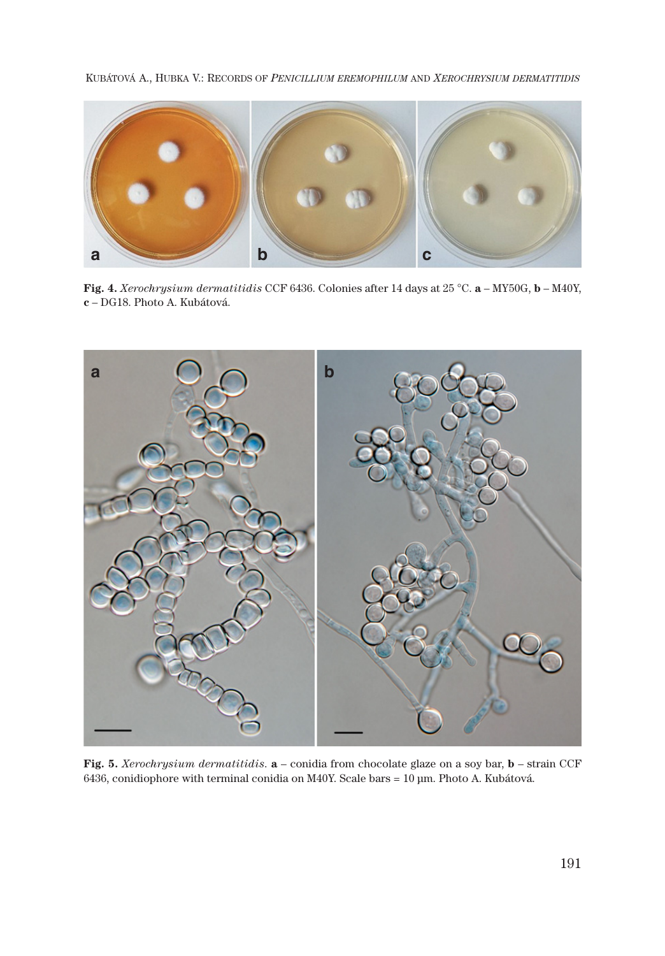

**Fig. 4.** *Xerochrysium dermatitidis* CCF 6436. Colonies after 14 days at 25 °C. **a** – MY50G, **b** – M40Y, **c** – DG18. Photo A. Kubátová.



**Fig. 5.** *Xerochrysium dermatitidis*. **a** – conidia from chocolate glaze on a soy bar, **b** – strain CCF 6436, conidiophore with terminal conidia on M40Y. Scale bars = 10 μm. Photo A. Kubátová.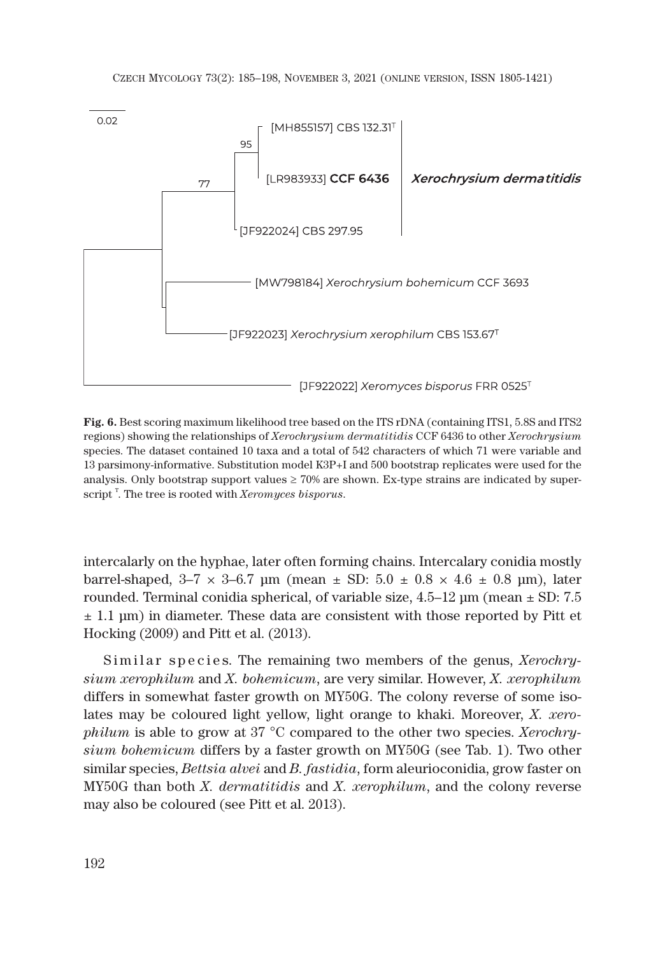

**Fig. 6.** Best scoring maximum likelihood tree based on the ITS rDNA (containing ITS1, 5.8S and ITS2 regions) showing the relationships of *Xerochrysium dermatitidis* CCF 6436 to other *Xerochrysium* species. The dataset contained 10 taxa and a total of 542 characters of which 71 were variable and 13 parsimony-informative. Substitution model K3P+I and 500 bootstrap replicates were used for the analysis. Only bootstrap support values  $\geq 70\%$  are shown. Ex-type strains are indicated by superscript<sup>"</sup>. The tree is rooted with *Xeromyces bisporus*.

intercalarly on the hyphae, later often forming chains. Intercalary conidia mostly barrel-shaped,  $3-7 \times 3-6.7$  μm (mean  $\pm$  SD:  $5.0 \pm 0.8 \times 4.6 \pm 0.8$  μm), later rounded. Terminal conidia spherical, of variable size,  $4.5-12$  μm (mean  $\pm$  SD: 7.5)  $\pm$  1.1 µm) in diameter. These data are consistent with those reported by Pitt et Hocking (2009) and Pitt et al. (2013).

Similar species. The remaining two members of the genus, *Xerochrysium xerophilum* and *X. bohemicum*, are very similar. However, *X. xerophilum* differs in somewhat faster growth on MY50G. The colony reverse of some isolates may be coloured light yellow, light orange to khaki. Moreover, *X. xerophilum* is able to grow at 37 °C compared to the other two species. *Xerochrysium bohemicum* differs by a faster growth on MY50G (see Tab. 1). Two other similar species, *Bettsia alvei* and *B. fastidia*, form aleurioconidia, grow faster on MY50G than both *X. dermatitidis* and *X. xerophilum*, and the colony reverse may also be coloured (see Pitt et al. 2013).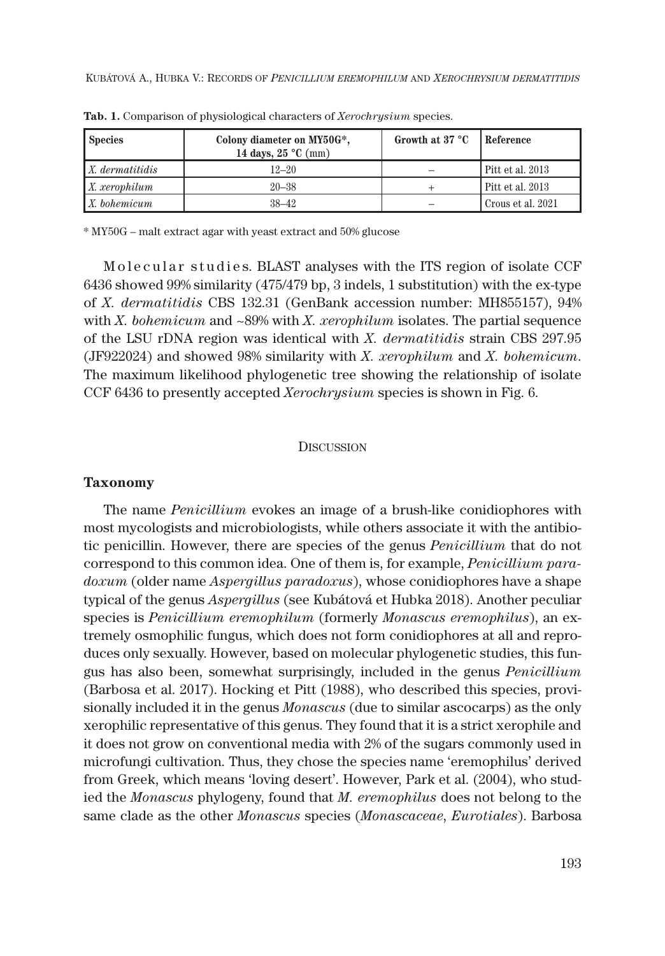| <b>Species</b>     | Colony diameter on MY50G*,<br>14 days, $25^{\circ}$ C (mm) | Growth at $37^{\circ}$ C | Reference         |
|--------------------|------------------------------------------------------------|--------------------------|-------------------|
| $X$ . dermatitidis | $12 - 20$                                                  | -                        | Pitt et al. 2013  |
| X. xerophilum      | $20 - 38$                                                  | ÷                        | Pitt et al. 2013  |
| X. bohemicum       | $38 - 42$                                                  |                          | Crous et al. 2021 |

**Tab. 1.** Comparison of physiological characters of *Xerochrysium* species.

\* MY50G – malt extract agar with yeast extract and 50% glucose

Molecular studies. BLAST analyses with the ITS region of isolate CCF 6436 showed 99% similarity (475/479 bp, 3 indels, 1 substitution) with the ex-type of *X. dermatitidis* CBS 132.31 (GenBank accession number: MH855157), 94% with *X. bohemicum* and ~89% with *X. xerophilum* isolates. The partial sequence of the LSU rDNA region was identical with *X. dermatitidis* strain CBS 297.95 (JF922024) and showed 98% similarity with *X. xerophilum* and *X. bohemicum*. The maximum likelihood phylogenetic tree showing the relationship of isolate CCF 6436 to presently accepted *Xerochrysium* species is shown in Fig. 6.

## **DISCUSSION**

#### **Taxonomy**

The name *Penicillium* evokes an image of a brush-like conidiophores with most mycologists and microbiologists, while others associate it with the antibiotic penicillin. However, there are species of the genus *Penicillium* that do not correspond to this common idea. One of them is, for example, *Penicillium paradoxum* (older name *Aspergillus paradoxus*), whose conidiophores have a shape typical of the genus *Aspergillus* (see Kubátová et Hubka 2018). Another peculiar species is *Penicillium eremophilum* (formerly *Monascus eremophilus*), an extremely osmophilic fungus, which does not form conidiophores at all and reproduces only sexually. However, based on molecular phylogenetic studies, this fungus has also been, somewhat surprisingly, included in the genus *Penicillium* (Barbosa et al. 2017). Hocking et Pitt (1988), who described this species, provisionally included it in the genus *Monascus* (due to similar ascocarps) as the only xerophilic representative of this genus. They found that it is a strict xerophile and it does not grow on conventional media with 2% of the sugars commonly used in microfungi cultivation. Thus, they chose the species name 'eremophilus' derived from Greek, which means 'loving desert'. However, Park et al. (2004), who studied the *Monascus* phylogeny, found that *M. eremophilus* does not belong to the same clade as the other *Monascus* species (*Monascaceae*, *Eurotiales*). Barbosa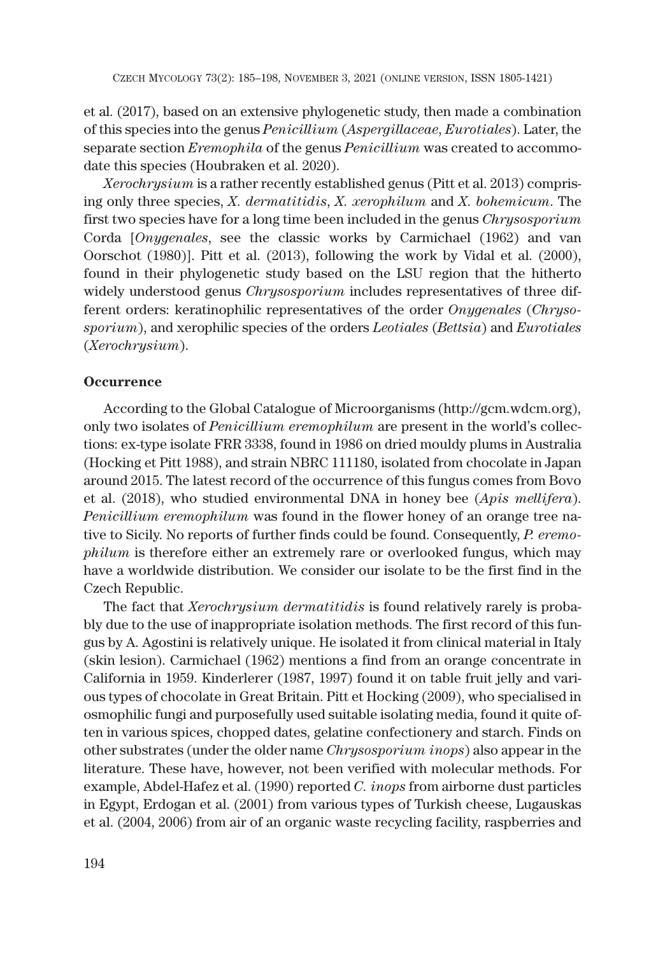et al. (2017), based on an extensive phylogenetic study, then made a combination of this species into the genus *Penicillium* (*Aspergillaceae*, *Eurotiales*). Later, the separate section *Eremophila* of the genus *Penicillium* was created to accommodate this species (Houbraken et al. 2020).

*Xerochrysium* is a rather recently established genus (Pitt et al. 2013) comprising only three species, *X. dermatitidis*, *X. xerophilum* and *X. bohemicum*. The first two species have for a long time been included in the genus *Chrysosporium* Corda [*Onygenales*, see the classic works by Carmichael (1962) and van Oorschot (1980)]. Pitt et al. (2013), following the work by Vidal et al. (2000), found in their phylogenetic study based on the LSU region that the hitherto widely understood genus *Chrysosporium* includes representatives of three different orders: keratinophilic representatives of the order *Onygenales* (*Chrysosporium*), and xerophilic species of the orders *Leotiales* (*Bettsia*) and *Eurotiales* (*Xerochrysium*).

#### **Occurrence**

According to the Global Catalogue of Microorganisms (http://gcm.wdcm.org), only two isolates of *Penicillium eremophilum* are present in the world's collections: ex-type isolate FRR 3338, found in 1986 on dried mouldy plums in Australia (Hocking et Pitt 1988), and strain NBRC 111180, isolated from chocolate in Japan around 2015. The latest record of the occurrence of this fungus comes from Bovo et al. (2018), who studied environmental DNA in honey bee (*Apis mellifera*). *Penicillium eremophilum* was found in the flower honey of an orange tree native to Sicily. No reports of further finds could be found. Consequently, *P. eremophilum* is therefore either an extremely rare or overlooked fungus, which may have a worldwide distribution. We consider our isolate to be the first find in the Czech Republic.

The fact that *Xerochrysium dermatitidis* is found relatively rarely is probably due to the use of inappropriate isolation methods. The first record of this fungus by A. Agostini is relatively unique. He isolated it from clinical material in Italy (skin lesion). Carmichael (1962) mentions a find from an orange concentrate in California in 1959. Kinderlerer (1987, 1997) found it on table fruit jelly and various types of chocolate in Great Britain. Pitt et Hocking (2009), who specialised in osmophilic fungi and purposefully used suitable isolating media, found it quite often in various spices, chopped dates, gelatine confectionery and starch. Finds on other substrates (under the older name *Chrysosporium inops*) also appear in the literature. These have, however, not been verified with molecular methods. For example, Abdel-Hafez et al. (1990) reported *C. inops* from airborne dust particles in Egypt, Erdogan et al. (2001) from various types of Turkish cheese, Lugauskas et al. (2004, 2006) from air of an organic waste recycling facility, raspberries and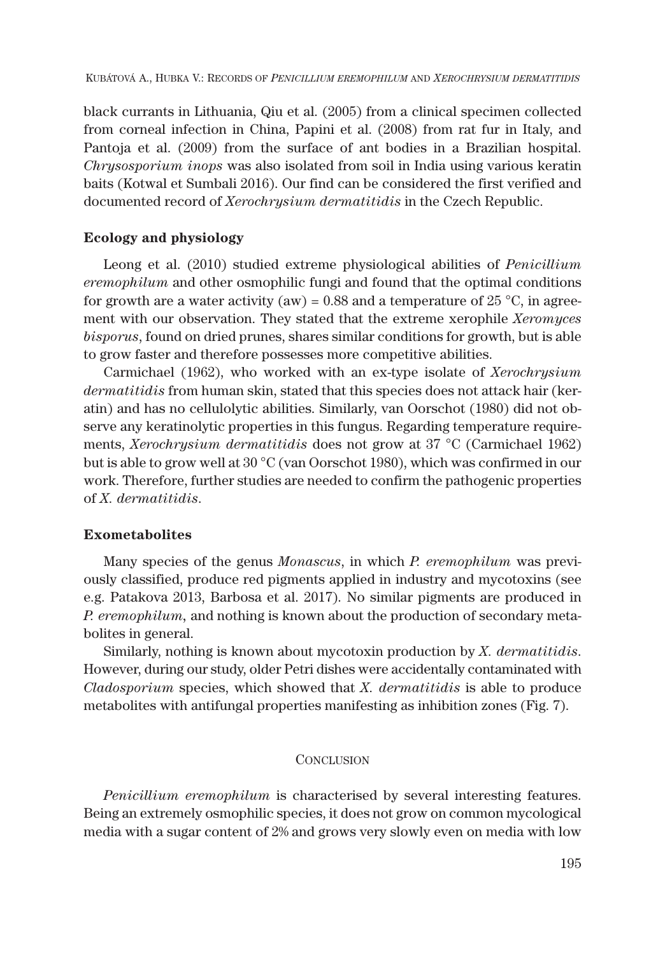black currants in Lithuania, Qiu et al. (2005) from a clinical specimen collected from corneal infection in China, Papini et al. (2008) from rat fur in Italy, and Pantoja et al. (2009) from the surface of ant bodies in a Brazilian hospital. *Chrysosporium inops* was also isolated from soil in India using various keratin baits (Kotwal et Sumbali 2016). Our find can be considered the first verified and documented record of *Xerochrysium dermatitidis* in the Czech Republic.

## **Ecology and physiology**

Leong et al. (2010) studied extreme physiological abilities of *Penicillium eremophilum* and other osmophilic fungi and found that the optimal conditions for growth are a water activity (aw) = 0.88 and a temperature of 25 °C, in agreement with our observation. They stated that the extreme xerophile *Xeromyces bisporus*, found on dried prunes, shares similar conditions for growth, but is able to grow faster and therefore possesses more competitive abilities.

Carmichael (1962), who worked with an ex-type isolate of *Xerochrysium dermatitidis* from human skin, stated that this species does not attack hair (keratin) and has no cellulolytic abilities. Similarly, van Oorschot (1980) did not observe any keratinolytic properties in this fungus. Regarding temperature requirements, *Xerochrysium dermatitidis* does not grow at 37 °C (Carmichael 1962) but is able to grow well at 30 °C (van Oorschot 1980), which was confirmed in our work. Therefore, further studies are needed to confirm the pathogenic properties of *X. dermatitidis*.

### **Exometabolites**

Many species of the genus *Monascus*, in which *P. eremophilum* was previously classified, produce red pigments applied in industry and mycotoxins (see e.g. Patakova 2013, Barbosa et al. 2017). No similar pigments are produced in *P. eremophilum,* and nothing is known about the production of secondary metabolites in general.

Similarly, nothing is known about mycotoxin production by *X. dermatitidis*. However, during our study, older Petri dishes were accidentally contaminated with *Cladosporium* species, which showed that *X. dermatitidis* is able to produce metabolites with antifungal properties manifesting as inhibition zones (Fig. 7).

#### **CONCLUSION**

*Penicillium eremophilum* is characterised by several interesting features. Being an extremely osmophilic species, it does not grow on common mycological media with a sugar content of 2% and grows very slowly even on media with low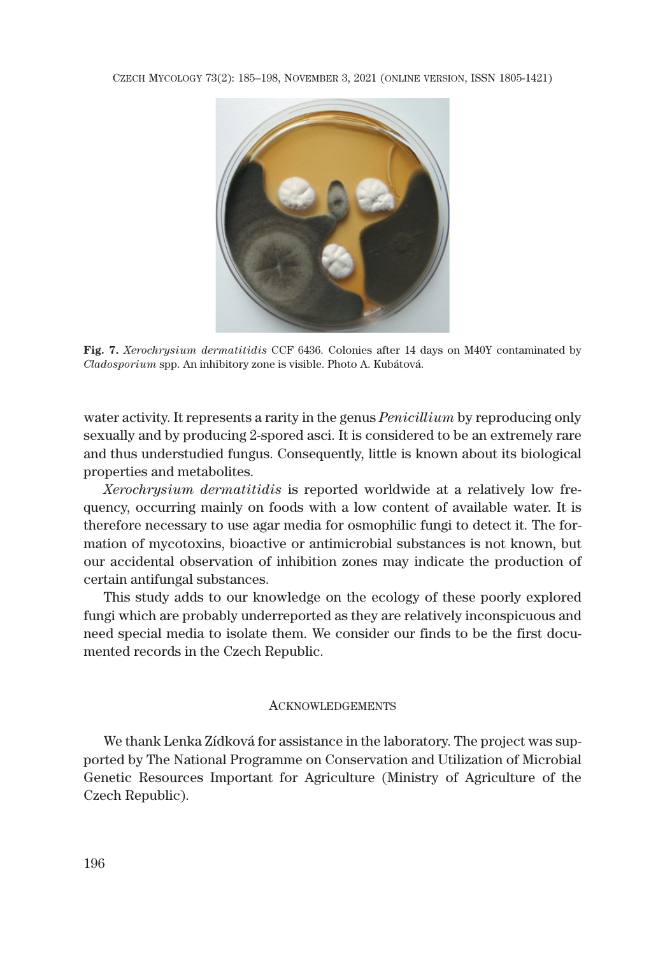CZECH MYCOLOGY 73(2): 185–198, NOVEMBER 3, 2021 (ONLINE VERSION, ISSN 1805-1421)



**Fig. 7.** *Xerochrysium dermatitidis* CCF 6436. Colonies after 14 days on M40Y contaminated by *Cladosporium* spp. An inhibitory zone is visible. Photo A. Kubátová.

water activity. It represents a rarity in the genus *Penicillium* by reproducing only sexually and by producing 2-spored asci. It is considered to be an extremely rare and thus understudied fungus. Consequently, little is known about its biological properties and metabolites.

*Xerochrysium dermatitidis* is reported worldwide at a relatively low frequency, occurring mainly on foods with a low content of available water. It is therefore necessary to use agar media for osmophilic fungi to detect it. The formation of mycotoxins, bioactive or antimicrobial substances is not known, but our accidental observation of inhibition zones may indicate the production of certain antifungal substances.

This study adds to our knowledge on the ecology of these poorly explored fungi which are probably underreported as they are relatively inconspicuous and need special media to isolate them. We consider our finds to be the first documented records in the Czech Republic.

#### ACKNOWLEDGEMENTS

We thank Lenka Zídková for assistance in the laboratory. The project was supported by The National Programme on Conservation and Utilization of Microbial Genetic Resources Important for Agriculture (Ministry of Agriculture of the Czech Republic).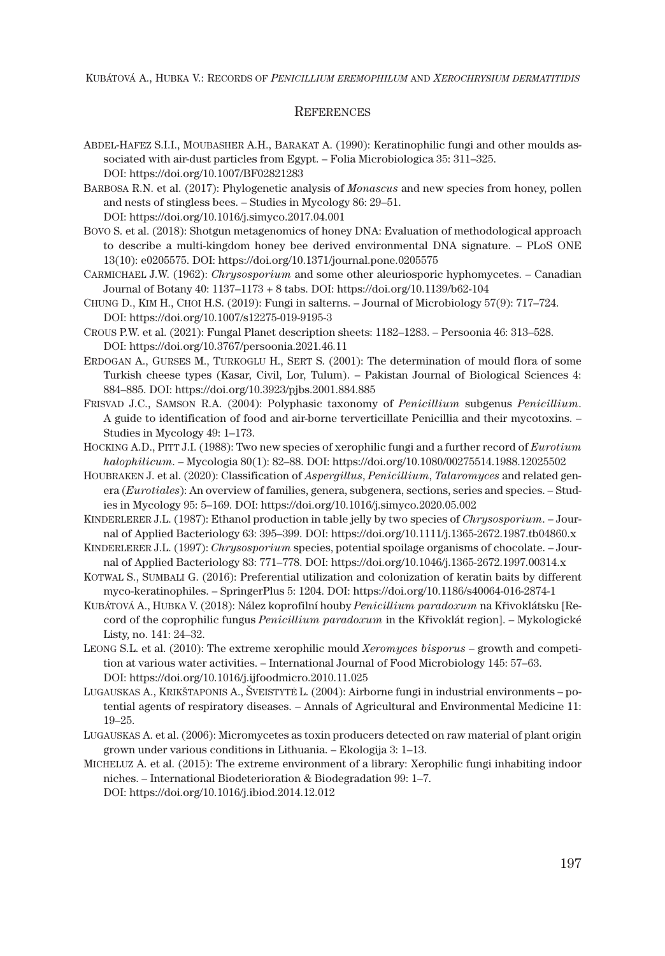#### **REFERENCES**

- ABDEL-HAFEZ S.I.I., MOUBASHER A.H., BARAKAT A. (1990): Keratinophilic fungi and other moulds associated with air-dust particles from Egypt. – Folia Microbiologica 35: 311–325. DOI: https://doi.org/10.1007/BF02821283
- BARBOSA R.N. et al. (2017): Phylogenetic analysis of *Monascus* and new species from honey, pollen and nests of stingless bees. – Studies in Mycology 86: 29–51. DOI: https://doi.org/10.1016/j.simyco.2017.04.001
- BOVO S. et al. (2018): Shotgun metagenomics of honey DNA: Evaluation of methodological approach to describe a multi-kingdom honey bee derived environmental DNA signature. – PLoS ONE 13(10): e0205575. DOI: https://doi.org/10.1371/journal.pone.0205575
- CARMICHAEL J.W. (1962): *Chrysosporium* and some other aleuriosporic hyphomycetes. Canadian Journal of Botany 40: 1137–1173 + 8 tabs. DOI: https://doi.org/10.1139/b62-104
- CHUNG D., KIM H., CHOI H.S. (2019): Fungi in salterns. Journal of Microbiology 57(9): 717–724. DOI: https://doi.org/10.1007/s12275-019-9195-3
- CROUS P.W. et al. (2021): Fungal Planet description sheets: 1182–1283. Persoonia 46: 313–528. DOI: https://doi.org/10.3767/persoonia.2021.46.11
- ERDOGAN A., GURSES M., TURKOGLU H., SERT S. (2001): The determination of mould flora of some Turkish cheese types (Kasar, Civil, Lor, Tulum). – Pakistan Journal of Biological Sciences 4: 884–885. DOI: https://doi.org/10.3923/pjbs.2001.884.885
- FRISVAD J.C., SAMSON R.A. (2004): Polyphasic taxonomy of *Penicillium* subgenus *Penicillium*. A guide to identification of food and air-borne terverticillate Penicillia and their mycotoxins. – Studies in Mycology 49: 1–173.
- HOCKING A.D., PITT J.I. (1988): Two new species of xerophilic fungi and a further record of *Eurotium halophilicum*. – Mycologia 80(1): 82–88. DOI: https://doi.org/10.1080/00275514.1988.12025502
- HOUBRAKEN J. et al. (2020): Classification of *Aspergillus*, *Penicillium*, *Talaromyces* and related genera (*Eurotiales*): An overview of families, genera, subgenera, sections, series and species. – Studies in Mycology 95: 5–169. DOI: https://doi.org/10.1016/j.simyco.2020.05.002
- KINDERLERER J.L. (1987): Ethanol production in table jelly by two species of *Chrysosporium*. Journal of Applied Bacteriology 63: 395–399. DOI: https://doi.org/10.1111/j.1365-2672.1987.tb04860.x
- KINDERLERER J.L. (1997): *Chrysosporium* species, potential spoilage organisms of chocolate. Journal of Applied Bacteriology 83: 771–778. DOI: https://doi.org/10.1046/j.1365-2672.1997.00314.x
- KOTWAL S., SUMBALI G. (2016): Preferential utilization and colonization of keratin baits by different myco-keratinophiles. – SpringerPlus 5: 1204. DOI: https://doi.org/10.1186/s40064-016-2874-1
- KUBÁTOVÁ A., HUBKA V. (2018): Nález koprofilní houby *Penicillium paradoxum* na Křivoklátsku [Record of the coprophilic fungus *Penicillium paradoxum* in the Křivoklát region]. – Mykologické Listy, no. 141: 24–32.
- LEONG S.L. et al. (2010): The extreme xerophilic mould *Xeromyces bisporus* growth and competition at various water activities. – International Journal of Food Microbiology 145: 57–63. DOI: https://doi.org/10.1016/j.ijfoodmicro.2010.11.025
- LUGAUSKAS A., KRIKŠTAPONIS A., ŠVEISTYTE˙ L. (2004): Airborne fungi in industrial environments potential agents of respiratory diseases. – Annals of Agricultural and Environmental Medicine 11: 19–25.
- LUGAUSKAS A. et al. (2006): Micromycetes as toxin producers detected on raw material of plant origin grown under various conditions in Lithuania. – Ekologija 3: 1–13.
- MICHELUZ A. et al. (2015): The extreme environment of a library: Xerophilic fungi inhabiting indoor niches. – International Biodeterioration & Biodegradation 99: 1–7. DOI: https://doi.org/10.1016/j.ibiod.2014.12.012